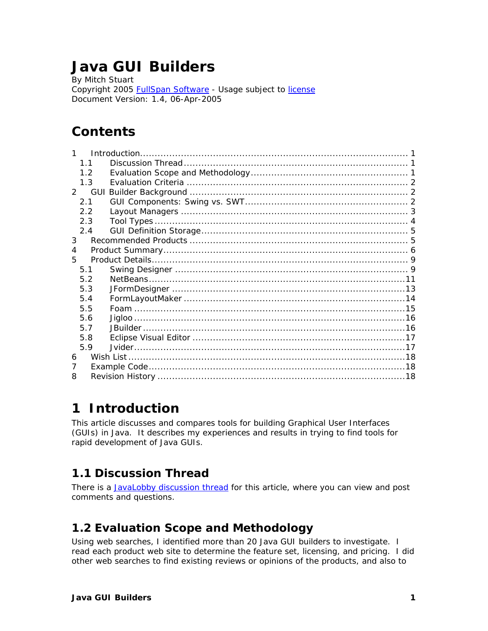# **Java GUI Builders**

By Mitch Stuart Copyright 2005 [FullSpan Software -](http://www.fullspan.com/) Usage subject to [license](http://www.fullspan.com/shared/license.html) Document Version: 1.4, 06-Apr-2005

# **Contents**

| 1           |     |  |  |  |  |
|-------------|-----|--|--|--|--|
|             | 11  |  |  |  |  |
|             | 1.2 |  |  |  |  |
|             | 1.3 |  |  |  |  |
| $2^{\circ}$ |     |  |  |  |  |
|             | 2.1 |  |  |  |  |
|             | 22  |  |  |  |  |
|             | 2.3 |  |  |  |  |
|             | 2.4 |  |  |  |  |
| 3           |     |  |  |  |  |
| 4           |     |  |  |  |  |
| 5           |     |  |  |  |  |
|             | 5.1 |  |  |  |  |
|             | 52  |  |  |  |  |
|             | 5.3 |  |  |  |  |
|             | 5.4 |  |  |  |  |
|             | 5.5 |  |  |  |  |
|             | 5.6 |  |  |  |  |
|             | 5.7 |  |  |  |  |
|             | 5.8 |  |  |  |  |
|             | 5.9 |  |  |  |  |
| 6           |     |  |  |  |  |
| 7           |     |  |  |  |  |
|             |     |  |  |  |  |
|             |     |  |  |  |  |

# <span id="page-0-0"></span>**1 Introduction**

This article discusses and compares tools for building Graphical User Interfaces (GUIs) in Java. It describes my experiences and results in trying to find tools for rapid development of Java GUIs.

## <span id="page-0-1"></span>*1.1 Discussion Thread*

There is a [JavaLobby discussion thread](http://www.javalobby.org/java/forums/t17948) for this article, where you can view and post comments and questions.

## <span id="page-0-2"></span>*1.2 Evaluation Scope and Methodology*

Using web searches, I identified more than 20 Java GUI builders to investigate. I read each product web site to determine the feature set, licensing, and pricing. I did other web searches to find existing reviews or opinions of the products, and also to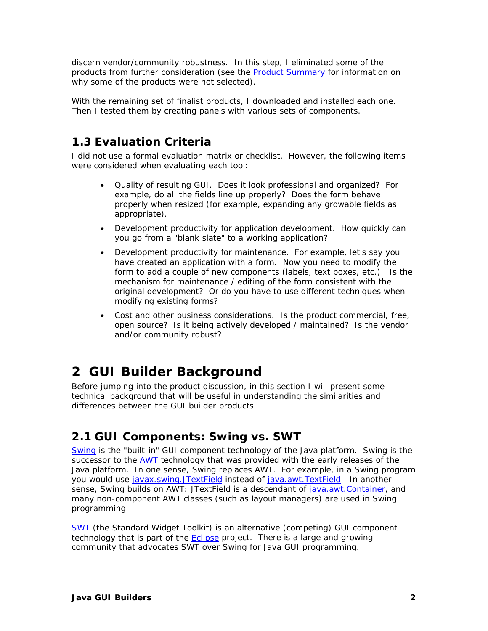discern vendor/community robustness. In this step, I eliminated some of the products from further consideration (see the [Product Summary](#page-5-0) for information on why some of the products were not selected).

With the remaining set of finalist products, I downloaded and installed each one. Then I tested them by creating panels with various sets of components.

## <span id="page-1-0"></span>*1.3 Evaluation Criteria*

I did not use a formal evaluation matrix or checklist. However, the following items were considered when evaluating each tool:

- Quality of resulting GUI. Does it look professional and organized? For example, do all the fields line up properly? Does the form behave properly when resized (for example, expanding any growable fields as appropriate).
- Development productivity for application development. How quickly can you go from a "blank slate" to a working application?
- Development productivity for maintenance. For example, let's say you have created an application with a form. Now you need to modify the form to add a couple of new components (labels, text boxes, etc.). Is the mechanism for maintenance / editing of the form consistent with the original development? Or do you have to use different techniques when modifying existing forms?
- Cost and other business considerations. Is the product commercial, free, open source? Is it being actively developed / maintained? Is the vendor and/or community robust?

# <span id="page-1-1"></span>**2 GUI Builder Background**

Before jumping into the product discussion, in this section I will present some technical background that will be useful in understanding the similarities and differences between the GUI builder products.

# <span id="page-1-2"></span>*2.1 GUI Components: Swing vs. SWT*

[Swing](http://java.sun.com/products/jfc/) is the "built-in" GUI component technology of the Java platform. Swing is the successor to the [AWT](http://java.sun.com/products/jdk/awt/) technology that was provided with the early releases of the Java platform. In one sense, Swing replaces AWT. For example, in a Swing program you would use [javax.swing.JTextField](http://java.sun.com/j2se/1.5.0/docs/api/javax/swing/JTextField.html) instead of [java.awt.TextField.](http://java.sun.com/j2se/1.5.0/docs/api/java/awt/TextField.html) In another sense, Swing builds on AWT: JTextField is a descendant of [java.awt.Container,](http://java.sun.com/j2se/1.5.0/docs/api/java/awt/Container.html) and many non-component AWT classes (such as layout managers) are used in Swing programming.

[SWT](http://www.eclipse.org/swt/) (the Standard Widget Toolkit) is an alternative (competing) GUI component technology that is part of the **Eclipse** project. There is a large and growing community that advocates SWT over Swing for Java GUI programming.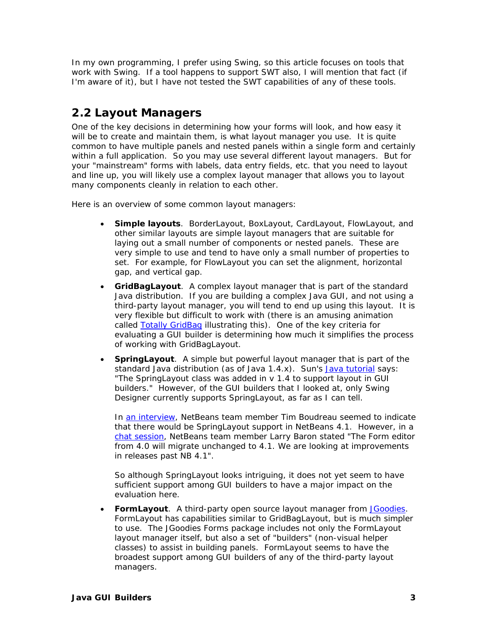In my own programming, I prefer using Swing, so this article focuses on tools that work with Swing. If a tool happens to support SWT also, I will mention that fact (if I'm aware of it), but I have not tested the SWT capabilities of any of these tools.

## <span id="page-2-0"></span>*2.2 Layout Managers*

One of the key decisions in determining how your forms will look, and how easy it will be to create and maintain them, is what layout manager you use. It is quite common to have multiple panels and nested panels within a single form and certainly within a full application. So you may use several different layout managers. But for your "mainstream" forms with labels, data entry fields, etc. that you need to layout and line up, you will likely use a complex layout manager that allows you to layout many components cleanly in relation to each other.

Here is an overview of some common layout managers:

- **Simple layouts**. BorderLayout, BoxLayout, CardLayout, FlowLayout, and other similar layouts are simple layout managers that are suitable for laying out a small number of components or nested panels. These are very simple to use and tend to have only a small number of properties to set. For example, for FlowLayout you can set the alignment, horizontal gap, and vertical gap.
- **GridBagLayout**. A complex layout manager that is part of the standard Java distribution. If you are building a complex Java GUI, and not using a third-party layout manager, you will tend to end up using this layout. It is very flexible but difficult to work with (there is an amusing animation called [Totally GridBag](http://madbean.com/blog/2004/17/totallygridbag.html) illustrating this). One of the key criteria for evaluating a GUI builder is determining how much it simplifies the process of working with GridBagLayout.
- **SpringLayout**. A simple but powerful layout manager that is part of the standard Java distribution (as of Java 1.4.x). Sun's [Java tutorial s](http://java.sun.com/docs/books/tutorial/uiswing/layout/spring.html)ays: "The SpringLayout class was added in v 1.4 to support layout in GUI builders." However, of the GUI builders that I looked at, only Swing Designer currently supports SpringLayout, as far as I can tell.

In [an interview,](http://www.softwarereality.com/soapbox/boudreau_interview.jsp) NetBeans team member Tim Boudreau seemed to indicate that there would be SpringLayout support in NetBeans 4.1. However, in a [chat session,](http://java.sun.com/developer/community/chat/JavaLive/2004/jl1116.html) NetBeans team member Larry Baron stated "The Form editor from 4.0 will migrate unchanged to 4.1. We are looking at improvements in releases past NB 4.1".

So although SpringLayout looks intriguing, it does not yet seem to have sufficient support among GUI builders to have a major impact on the evaluation here.

• **FormLayout**. A third-party open source layout manager from [JGoodies.](http://www.jgoodies.com/freeware/forms/)  FormLayout has capabilities similar to GridBagLayout, but is much simpler to use. The JGoodies Forms package includes not only the FormLayout layout manager itself, but also a set of "builders" (non-visual helper classes) to assist in building panels. FormLayout seems to have the broadest support among GUI builders of any of the third-party layout managers.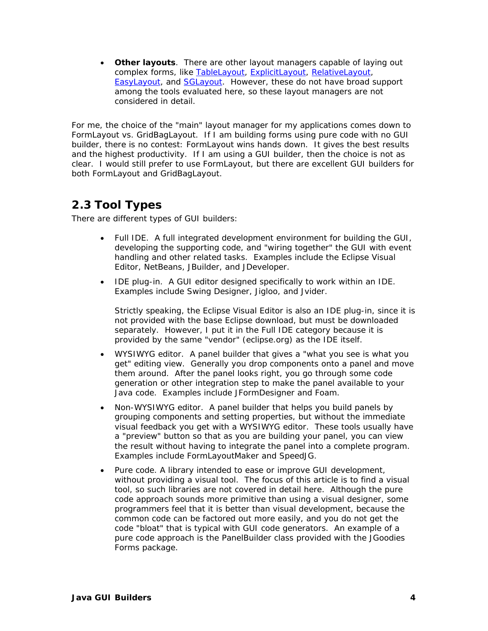• **Other layouts**. There are other layout managers capable of laying out complex forms, like [TableLayout,](http://www.clearthought.info/software/TableLayout/) [ExplicitLayout,](http://www.zookitec.com/explicitlayout.html) [RelativeLayout,](http://www.onjava.com/pub/a/onjava/2002/09/18/relativelayout.html)  [EasyLayout,](http://easylayout.sohlman.com/index.html) and [SGLayout.](http://www.javaworld.com/javaworld/javatips/jw-javatip129.html) However, these do not have broad support among the tools evaluated here, so these layout managers are not considered in detail.

For me, the choice of the "main" layout manager for my applications comes down to FormLayout vs. GridBagLayout. If I am building forms using pure code with no GUI builder, there is no contest: FormLayout wins hands down. It gives the best results and the highest productivity. If I am using a GUI builder, then the choice is not as clear. I would still prefer to use FormLayout, but there are excellent GUI builders for both FormLayout and GridBagLayout.

## <span id="page-3-0"></span>*2.3 Tool Types*

There are different types of GUI builders:

- Full IDE. A full integrated development environment for building the GUI, developing the supporting code, and "wiring together" the GUI with event handling and other related tasks. Examples include the Eclipse Visual Editor, NetBeans, JBuilder, and JDeveloper.
- IDE plug-in. A GUI editor designed specifically to work within an IDE. Examples include Swing Designer, Jigloo, and Jvider.

Strictly speaking, the Eclipse Visual Editor is also an IDE plug-in, since it is not provided with the base Eclipse download, but must be downloaded separately. However, I put it in the Full IDE category because it is provided by the same "vendor" (eclipse.org) as the IDE itself.

- WYSIWYG editor. A panel builder that gives a "what you see is what you get" editing view. Generally you drop components onto a panel and move them around. After the panel looks right, you go through some code generation or other integration step to make the panel available to your Java code. Examples include JFormDesigner and Foam.
- Non-WYSIWYG editor. A panel builder that helps you build panels by grouping components and setting properties, but without the immediate visual feedback you get with a WYSIWYG editor. These tools usually have a "preview" button so that as you are building your panel, you can view the result without having to integrate the panel into a complete program. Examples include FormLayoutMaker and SpeedJG.
- Pure code. A library intended to ease or improve GUI development, without providing a visual tool. The focus of this article is to find a visual tool, so such libraries are not covered in detail here. Although the pure code approach sounds more primitive than using a visual designer, some programmers feel that it is better than visual development, because the common code can be factored out more easily, and you do not get the code "bloat" that is typical with GUI code generators. An example of a pure code approach is the PanelBuilder class provided with the JGoodies Forms package.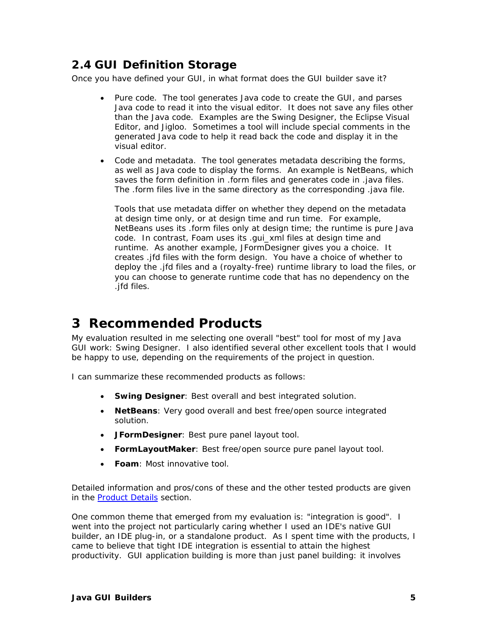# <span id="page-4-0"></span>*2.4 GUI Definition Storage*

Once you have defined your GUI, in what format does the GUI builder save it?

- Pure code. The tool generates Java code to create the GUI, and parses Java code to read it into the visual editor. It does not save any files other than the Java code. Examples are the Swing Designer, the Eclipse Visual Editor, and Jigloo. Sometimes a tool will include special comments in the generated Java code to help it read back the code and display it in the visual editor.
- Code and metadata. The tool generates metadata describing the forms, as well as Java code to display the forms. An example is NetBeans, which saves the form definition in .form files and generates code in .java files. The .form files live in the same directory as the corresponding .java file.

Tools that use metadata differ on whether they depend on the metadata at design time only, or at design time and run time. For example, NetBeans uses its .form files only at design time; the runtime is pure Java code. In contrast, Foam uses its .gui\_xml files at design time and runtime. As another example, JFormDesigner gives you a choice. It creates .jfd files with the form design. You have a choice of whether to deploy the .jfd files and a (royalty-free) runtime library to load the files, or you can choose to generate runtime code that has no dependency on the .jfd files.

# <span id="page-4-1"></span>**3 Recommended Products**

My evaluation resulted in me selecting one overall "best" tool for most of my Java GUI work: Swing Designer. I also identified several other excellent tools that I would be happy to use, depending on the requirements of the project in question.

I can summarize these recommended products as follows:

- **Swing Designer**: Best overall and best integrated solution.
- **NetBeans**: Very good overall and best free/open source integrated solution.
- **JFormDesigner**: Best pure panel layout tool.
- **FormLayoutMaker**: Best free/open source pure panel layout tool.
- **Foam**: Most innovative tool.

Detailed information and pros/cons of these and the other tested products are given in the **Product Details** section.

One common theme that emerged from my evaluation is: "integration is good". I went into the project not particularly caring whether I used an IDE's native GUI builder, an IDE plug-in, or a standalone product. As I spent time with the products, I came to believe that tight IDE integration is essential to attain the highest productivity. GUI application building is more than just panel building: it involves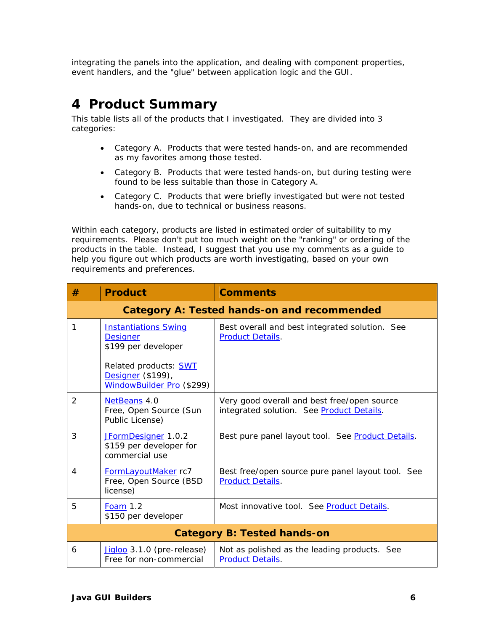integrating the panels into the application, and dealing with component properties, event handlers, and the "glue" between application logic and the GUI.

# <span id="page-5-0"></span>**4 Product Summary**

This table lists all of the products that I investigated. They are divided into 3 categories:

- Category A. Products that were tested hands-on, and are recommended as my favorites among those tested.
- Category B. Products that were tested hands-on, but during testing were found to be less suitable than those in Category A.
- Category C. Products that were briefly investigated but were not tested hands-on, due to technical or business reasons.

Within each category, products are listed in estimated order of suitability to my requirements. Please don't put too much weight on the "ranking" or ordering of the products in the table. Instead, I suggest that you use my comments as a guide to help you figure out which products are worth investigating, based on your own requirements and preferences.

| #                                           | <b>Product</b>                                                                                                                                          | <b>Comments</b>                                                                          |  |  |  |
|---------------------------------------------|---------------------------------------------------------------------------------------------------------------------------------------------------------|------------------------------------------------------------------------------------------|--|--|--|
| Category A: Tested hands-on and recommended |                                                                                                                                                         |                                                                                          |  |  |  |
| 1                                           | <b>Instantiations Swing</b><br><b>Designer</b><br>\$199 per developer<br>Related products: <b>SWT</b><br>Designer (\$199),<br>WindowBuilder Pro (\$299) | Best overall and best integrated solution. See<br><b>Product Details.</b>                |  |  |  |
| 2                                           | NetBeans 4.0<br>Free, Open Source (Sun<br>Public License)                                                                                               | Very good overall and best free/open source<br>integrated solution. See Product Details. |  |  |  |
| 3                                           | JFormDesigner 1.0.2<br>\$159 per developer for<br>commercial use                                                                                        | Best pure panel layout tool. See Product Details.                                        |  |  |  |
| 4                                           | FormLayoutMaker rc7<br>Free, Open Source (BSD<br>license)                                                                                               | Best free/open source pure panel layout tool. See<br><b>Product Details.</b>             |  |  |  |
| 5                                           | <b>Foam 1.2</b><br>\$150 per developer                                                                                                                  | Most innovative tool. See Product Details.                                               |  |  |  |
| <b>Category B: Tested hands-on</b>          |                                                                                                                                                         |                                                                                          |  |  |  |
| 6                                           | Jigloo 3.1.0 (pre-release)<br>Free for non-commercial                                                                                                   | Not as polished as the leading products. See<br><b>Product Details.</b>                  |  |  |  |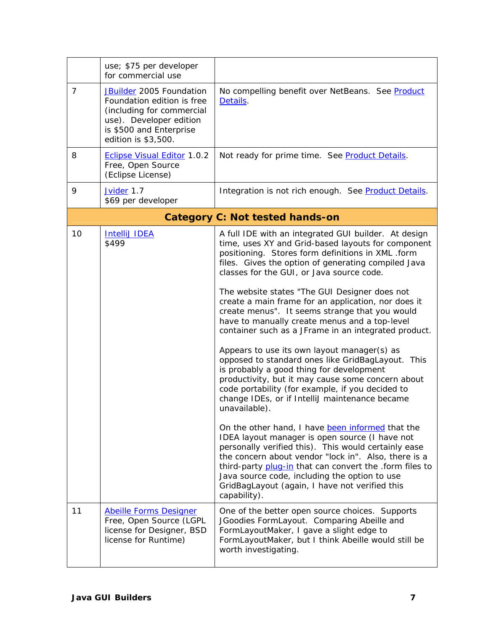|                | use; \$75 per developer<br>for commercial use                                                                                                                           |                                                                                                                                                                                                                                                                                                                                                                                                                                                                                                                                                                                                                                                                                                                                                                                                                                                                                                                                                                                                                                                                                                                                                                                                                                                                        |
|----------------|-------------------------------------------------------------------------------------------------------------------------------------------------------------------------|------------------------------------------------------------------------------------------------------------------------------------------------------------------------------------------------------------------------------------------------------------------------------------------------------------------------------------------------------------------------------------------------------------------------------------------------------------------------------------------------------------------------------------------------------------------------------------------------------------------------------------------------------------------------------------------------------------------------------------------------------------------------------------------------------------------------------------------------------------------------------------------------------------------------------------------------------------------------------------------------------------------------------------------------------------------------------------------------------------------------------------------------------------------------------------------------------------------------------------------------------------------------|
| $\overline{7}$ | <b>JBuilder</b> 2005 Foundation<br>Foundation edition is free<br>(including for commercial<br>use). Developer edition<br>is \$500 and Enterprise<br>edition is \$3,500. | No compelling benefit over NetBeans. See Product<br>Details.                                                                                                                                                                                                                                                                                                                                                                                                                                                                                                                                                                                                                                                                                                                                                                                                                                                                                                                                                                                                                                                                                                                                                                                                           |
| 8              | <b>Eclipse Visual Editor 1.0.2</b><br>Free, Open Source<br>(Eclipse License)                                                                                            | Not ready for prime time. See Product Details.                                                                                                                                                                                                                                                                                                                                                                                                                                                                                                                                                                                                                                                                                                                                                                                                                                                                                                                                                                                                                                                                                                                                                                                                                         |
| 9              | Jvider 1.7<br>\$69 per developer                                                                                                                                        | Integration is not rich enough. See Product Details.                                                                                                                                                                                                                                                                                                                                                                                                                                                                                                                                                                                                                                                                                                                                                                                                                                                                                                                                                                                                                                                                                                                                                                                                                   |
|                |                                                                                                                                                                         | <b>Category C: Not tested hands-on</b>                                                                                                                                                                                                                                                                                                                                                                                                                                                                                                                                                                                                                                                                                                                                                                                                                                                                                                                                                                                                                                                                                                                                                                                                                                 |
| 10             | <b>IntelliJ IDEA</b><br>\$499                                                                                                                                           | A full IDE with an integrated GUI builder. At design<br>time, uses XY and Grid-based layouts for component<br>positioning. Stores form definitions in XML .form<br>files. Gives the option of generating compiled Java<br>classes for the GUI, or Java source code.<br>The website states "The GUI Designer does not<br>create a main frame for an application, nor does it<br>create menus". It seems strange that you would<br>have to manually create menus and a top-level<br>container such as a JFrame in an integrated product.<br>Appears to use its own layout manager(s) as<br>opposed to standard ones like GridBagLayout. This<br>is probably a good thing for development<br>productivity, but it may cause some concern about<br>code portability (for example, if you decided to<br>change IDEs, or if IntelliJ maintenance became<br>unavailable).<br>On the other hand, I have been informed that the<br>IDEA layout manager is open source (I have not<br>personally verified this). This would certainly ease<br>the concern about vendor "lock in". Also, there is a<br>third-party plug-in that can convert the .form files to<br>Java source code, including the option to use<br>GridBagLayout (again, I have not verified this<br>capability). |
| 11             | <b>Abeille Forms Designer</b><br>Free, Open Source (LGPL<br>license for Designer, BSD<br>license for Runtime)                                                           | One of the better open source choices. Supports<br>JGoodies FormLayout. Comparing Abeille and<br>FormLayoutMaker, I gave a slight edge to<br>FormLayoutMaker, but I think Abeille would still be<br>worth investigating.                                                                                                                                                                                                                                                                                                                                                                                                                                                                                                                                                                                                                                                                                                                                                                                                                                                                                                                                                                                                                                               |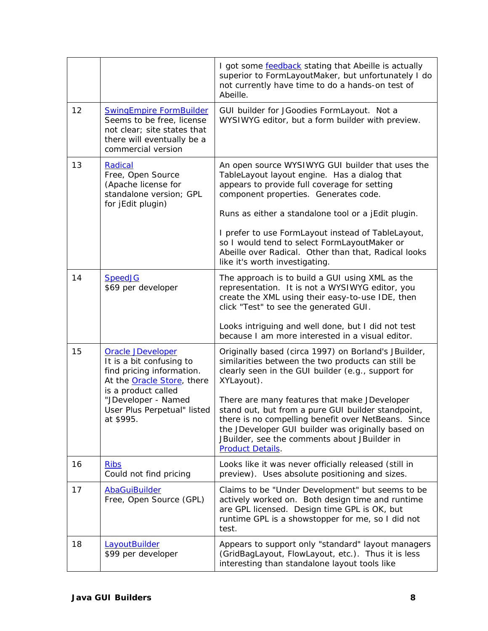|    |                                                                                                                                                | I got some <b>feedback</b> stating that Abeille is actually<br>superior to FormLayoutMaker, but unfortunately I do<br>not currently have time to do a hands-on test of<br>Abeille.                                                                                                         |
|----|------------------------------------------------------------------------------------------------------------------------------------------------|--------------------------------------------------------------------------------------------------------------------------------------------------------------------------------------------------------------------------------------------------------------------------------------------|
| 12 | <b>SwingEmpire FormBuilder</b><br>Seems to be free, license<br>not clear; site states that<br>there will eventually be a<br>commercial version | GUI builder for JGoodies FormLayout. Not a<br>WYSIWYG editor, but a form builder with preview.                                                                                                                                                                                             |
| 13 | <b>Radical</b><br>Free, Open Source<br>(Apache license for<br>standalone version; GPL<br>for jEdit plugin)                                     | An open source WYSIWYG GUI builder that uses the<br>TableLayout layout engine. Has a dialog that<br>appears to provide full coverage for setting<br>component properties. Generates code.                                                                                                  |
|    |                                                                                                                                                | Runs as either a standalone tool or a jEdit plugin.                                                                                                                                                                                                                                        |
|    |                                                                                                                                                | I prefer to use FormLayout instead of TableLayout,<br>so I would tend to select FormLayoutMaker or<br>Abeille over Radical. Other than that, Radical looks<br>like it's worth investigating.                                                                                               |
| 14 | <b>SpeedJG</b><br>\$69 per developer                                                                                                           | The approach is to build a GUI using XML as the<br>representation. It is not a WYSIWYG editor, you<br>create the XML using their easy-to-use IDE, then<br>click "Test" to see the generated GUI.                                                                                           |
|    |                                                                                                                                                | Looks intriguing and well done, but I did not test<br>because I am more interested in a visual editor.                                                                                                                                                                                     |
| 15 | <b>Oracle JDeveloper</b><br>It is a bit confusing to<br>find pricing information.<br>At the <b>Oracle Store</b> , there                        | Originally based (circa 1997) on Borland's JBuilder,<br>similarities between the two products can still be<br>clearly seen in the GUI builder (e.g., support for<br>XYLayout).                                                                                                             |
|    | is a product called<br>"JDeveloper - Named<br>User Plus Perpetual" listed<br>at \$995.                                                         | There are many features that make JDeveloper<br>stand out, but from a pure GUI builder standpoint,<br>there is no compelling benefit over NetBeans. Since<br>the JDeveloper GUI builder was originally based on<br>JBuilder, see the comments about JBuilder in<br><b>Product Details.</b> |
| 16 | <b>Ribs</b><br>Could not find pricing                                                                                                          | Looks like it was never officially released (still in<br>preview). Uses absolute positioning and sizes.                                                                                                                                                                                    |
| 17 | <b>AbaGuiBuilder</b><br>Free, Open Source (GPL)                                                                                                | Claims to be "Under Development" but seems to be<br>actively worked on. Both design time and runtime<br>are GPL licensed. Design time GPL is OK, but<br>runtime GPL is a showstopper for me, so I did not<br>test.                                                                         |
| 18 | <b>LayoutBuilder</b><br>\$99 per developer                                                                                                     | Appears to support only "standard" layout managers<br>(GridBagLayout, FlowLayout, etc.). Thus it is less<br>interesting than standalone layout tools like                                                                                                                                  |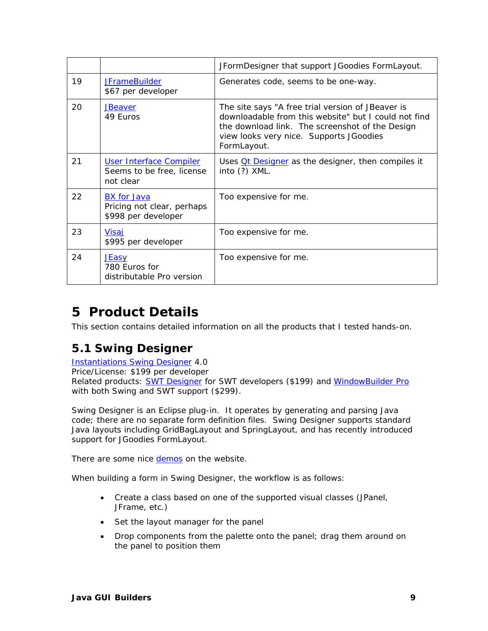|    |                                                                         | JFormDesigner that support JGoodies FormLayout.                                                                                                                                                                        |
|----|-------------------------------------------------------------------------|------------------------------------------------------------------------------------------------------------------------------------------------------------------------------------------------------------------------|
| 19 | <b>JFrameBuilder</b><br>\$67 per developer                              | Generates code, seems to be one-way.                                                                                                                                                                                   |
| 20 | <b>JBeaver</b><br>49 Euros                                              | The site says "A free trial version of JBeaver is<br>downloadable from this website" but I could not find<br>the download link. The screenshot of the Design<br>view looks very nice. Supports JGoodies<br>FormLayout. |
| 21 | User Interface Compiler<br>Seems to be free, license<br>not clear       | Uses $Qt$ Designer as the designer, then compiles it<br>into $(?)$ XML.                                                                                                                                                |
| 22 | <b>BX</b> for Java<br>Pricing not clear, perhaps<br>\$998 per developer | Too expensive for me.                                                                                                                                                                                                  |
| 23 | Visaj<br>\$995 per developer                                            | Too expensive for me.                                                                                                                                                                                                  |
| 24 | <b>JEasy</b><br>780 Euros for<br>distributable Pro version              | Too expensive for me.                                                                                                                                                                                                  |

# <span id="page-8-0"></span>**5 Product Details**

This section contains detailed information on all the products that I tested hands-on.

# <span id="page-8-1"></span>*5.1 Swing Designer*

**[Instantiations Swing Designer](http://www.swing-designer.com/) 4.0** Price/License: \$199 per developer Related products: **SWT Designer** for SWT developers (\$199) and [WindowBuilder Pro](http://www.windowbuilderpro.com/) with both Swing and SWT support (\$299).

Swing Designer is an Eclipse plug-in. It operates by generating and parsing Java code; there are no separate form definition files. Swing Designer supports standard Java layouts including GridBagLayout and SpringLayout, and has recently introduced support for JGoodies FormLayout.

There are some nice [demos o](http://www.instantiations.com/swt-designer/demos.html)n the website.

When building a form in Swing Designer, the workflow is as follows:

- Create a class based on one of the supported visual classes (JPanel, JFrame, etc.)
- Set the layout manager for the panel
- Drop components from the palette onto the panel; drag them around on the panel to position them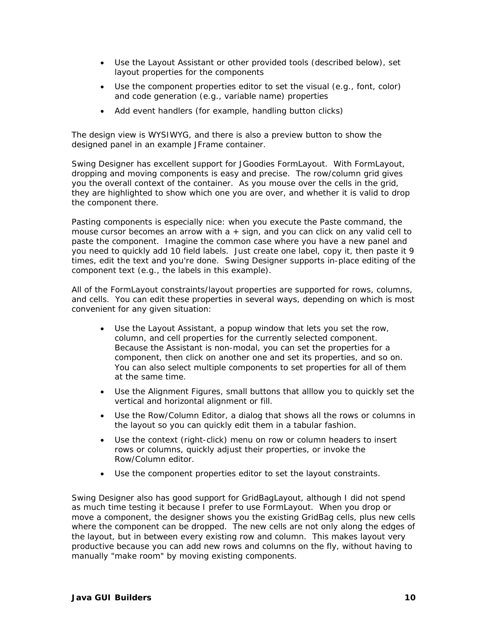- Use the Layout Assistant or other provided tools (described below), set layout properties for the components
- Use the component properties editor to set the visual (e.g., font, color) and code generation (e.g., variable name) properties
- Add event handlers (for example, handling button clicks)

The design view is WYSIWYG, and there is also a preview button to show the designed panel in an example JFrame container.

Swing Designer has excellent support for JGoodies FormLayout. With FormLayout, dropping and moving components is easy and precise. The row/column grid gives you the overall context of the container. As you mouse over the cells in the grid, they are highlighted to show which one you are over, and whether it is valid to drop the component there.

Pasting components is especially nice: when you execute the Paste command, the mouse cursor becomes an arrow with  $a + sign$ , and you can click on any valid cell to paste the component. Imagine the common case where you have a new panel and you need to quickly add 10 field labels. Just create one label, copy it, then paste it 9 times, edit the text and you're done. Swing Designer supports in-place editing of the component text (e.g., the labels in this example).

All of the FormLayout constraints/layout properties are supported for rows, columns, and cells. You can edit these properties in several ways, depending on which is most convenient for any given situation:

- Use the Layout Assistant, a popup window that lets you set the row, column, and cell properties for the currently selected component. Because the Assistant is non-modal, you can set the properties for a component, then click on another one and set its properties, and so on. You can also select multiple components to set properties for all of them at the same time.
- Use the Alignment Figures, small buttons that alllow you to quickly set the vertical and horizontal alignment or fill.
- Use the Row/Column Editor, a dialog that shows all the rows or columns in the layout so you can quickly edit them in a tabular fashion.
- Use the context (right-click) menu on row or column headers to insert rows or columns, quickly adjust their properties, or invoke the Row/Column editor.
- Use the component properties editor to set the layout constraints.

Swing Designer also has good support for GridBagLayout, although I did not spend as much time testing it because I prefer to use FormLayout. When you drop or move a component, the designer shows you the existing GridBag cells, plus new cells where the component can be dropped. The new cells are not only along the edges of the layout, but in between every existing row and column. This makes layout very productive because you can add new rows and columns on the fly, without having to manually "make room" by moving existing components.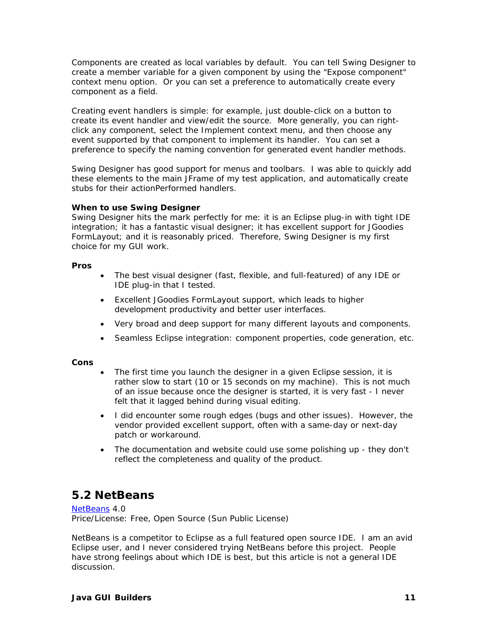Components are created as local variables by default. You can tell Swing Designer to create a member variable for a given component by using the "Expose component" context menu option. Or you can set a preference to automatically create every component as a field.

Creating event handlers is simple: for example, just double-click on a button to create its event handler and view/edit the source. More generally, you can rightclick any component, select the Implement context menu, and then choose any event supported by that component to implement its handler. You can set a preference to specify the naming convention for generated event handler methods.

Swing Designer has good support for menus and toolbars. I was able to quickly add these elements to the main JFrame of my test application, and automatically create stubs for their actionPerformed handlers.

### **When to use Swing Designer**

Swing Designer hits the mark perfectly for me: it is an Eclipse plug-in with tight IDE integration; it has a fantastic visual designer; it has excellent support for JGoodies FormLayout; and it is reasonably priced. Therefore, Swing Designer is my first choice for my GUI work.

### **Pros**

- The best visual designer (fast, flexible, and full-featured) of any IDE or IDE plug-in that I tested.
- Excellent JGoodies FormLayout support, which leads to higher development productivity and better user interfaces.
- Very broad and deep support for many different layouts and components.
- Seamless Eclipse integration: component properties, code generation, etc.

### **Cons**

- The first time you launch the designer in a given Eclipse session, it is rather slow to start (10 or 15 seconds on my machine). This is not much of an issue because once the designer is started, it is very fast - I never felt that it lagged behind during visual editing.
- I did encounter some rough edges (bugs and other issues). However, the vendor provided excellent support, often with a same-day or next-day patch or workaround.
- The documentation and website could use some polishing up they don't reflect the completeness and quality of the product.

## <span id="page-10-0"></span>*5.2 NetBeans*

[NetBeans](http://www.netbeans.org/) 4.0 Price/License: Free, Open Source (Sun Public License)

NetBeans is a competitor to Eclipse as a full featured open source IDE. I am an avid Eclipse user, and I never considered trying NetBeans before this project. People have strong feelings about which IDE is best, but this article is not a general IDE discussion.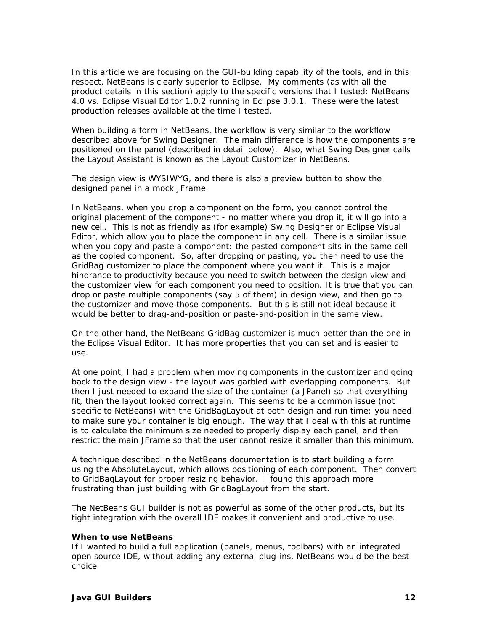In this article we are focusing on the GUI-building capability of the tools, and in this respect, NetBeans is clearly superior to Eclipse. My comments (as with all the product details in this section) apply to the specific versions that I tested: NetBeans 4.0 vs. Eclipse Visual Editor 1.0.2 running in Eclipse 3.0.1. These were the latest production releases available at the time I tested.

When building a form in NetBeans, the workflow is very similar to the workflow described above for Swing Designer. The main difference is how the components are positioned on the panel (described in detail below). Also, what Swing Designer calls the Layout Assistant is known as the Layout Customizer in NetBeans.

The design view is WYSIWYG, and there is also a preview button to show the designed panel in a mock JFrame.

In NetBeans, when you drop a component on the form, you cannot control the original placement of the component - no matter where you drop it, it will go into a new cell. This is not as friendly as (for example) Swing Designer or Eclipse Visual Editor, which allow you to place the component in any cell. There is a similar issue when you copy and paste a component: the pasted component sits in the same cell as the copied component. So, after dropping or pasting, you then need to use the GridBag customizer to place the component where you want it. This is a major hindrance to productivity because you need to switch between the design view and the customizer view for each component you need to position. It is true that you can drop or paste multiple components (say 5 of them) in design view, and then go to the customizer and move those components. But this is still not ideal because it would be better to drag-and-position or paste-and-position in the same view.

On the other hand, the NetBeans GridBag customizer is much better than the one in the Eclipse Visual Editor. It has more properties that you can set and is easier to use.

At one point, I had a problem when moving components in the customizer and going back to the design view - the layout was garbled with overlapping components. But then I just needed to expand the size of the container (a JPanel) so that everything fit, then the layout looked correct again. This seems to be a common issue (not specific to NetBeans) with the GridBagLayout at both design and run time: you need to make sure your container is big enough. The way that I deal with this at runtime is to calculate the minimum size needed to properly display each panel, and then restrict the main JFrame so that the user cannot resize it smaller than this minimum.

A technique described in the NetBeans documentation is to start building a form using the AbsoluteLayout, which allows positioning of each component. Then convert to GridBagLayout for proper resizing behavior. I found this approach more frustrating than just building with GridBagLayout from the start.

The NetBeans GUI builder is not as powerful as some of the other products, but its tight integration with the overall IDE makes it convenient and productive to use.

### **When to use NetBeans**

If I wanted to build a full application (panels, menus, toolbars) with an integrated open source IDE, without adding any external plug-ins, NetBeans would be the best choice.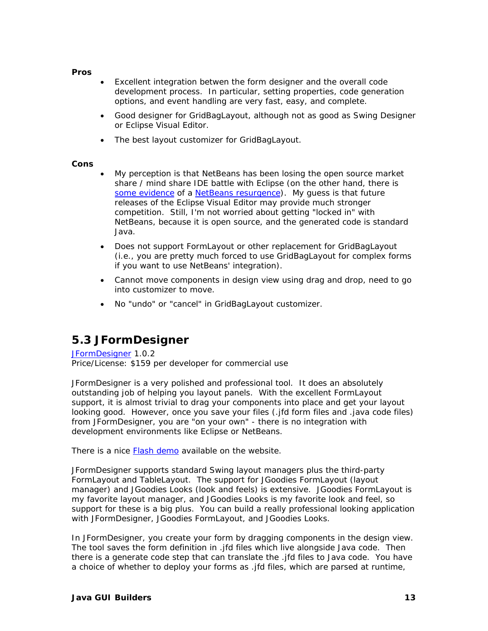### **Pros**

- Excellent integration betwen the form designer and the overall code development process. In particular, setting properties, code generation options, and event handling are very fast, easy, and complete.
- Good designer for GridBagLayout, although not as good as Swing Designer or Eclipse Visual Editor.
- The best layout customizer for GridBagLayout.

### **Cons**

- My perception is that NetBeans has been losing the open source market share / mind share IDE battle with Eclipse (on the other hand, there is [some evidence](http://cld.blog-city.com/read/1126337.htm) of a [NetBeans resurgence\)](http://www.javalobby.org/java/forums/m91828413). My guess is that future releases of the Eclipse Visual Editor may provide much stronger competition. Still, I'm not worried about getting "locked in" with NetBeans, because it is open source, and the generated code is standard Java.
- Does not support FormLayout or other replacement for GridBagLayout (i.e., you are pretty much forced to use GridBagLayout for complex forms if you want to use NetBeans' integration).
- Cannot move components in design view using drag and drop, need to go into customizer to move.
- No "undo" or "cancel" in GridBagLayout customizer.

## <span id="page-12-0"></span>*5.3 JFormDesigner*

## [JFormDesigner](http://www.jformdesigner.com/) 1.0.2

Price/License: \$159 per developer for commercial use

JFormDesigner is a very polished and professional tool. It does an absolutely outstanding job of helping you layout panels. With the excellent FormLayout support, it is almost trivial to drag your components into place and get your layout looking good. However, once you save your files (.jfd form files and .java code files) from JFormDesigner, you are "on your own" - there is no integration with development environments like Eclipse or NetBeans.

There is a nice [Flash demo](http://www.jformdesigner.com/demos/) available on the website.

JFormDesigner supports standard Swing layout managers plus the third-party FormLayout and TableLayout. The support for JGoodies FormLayout (layout manager) and JGoodies Looks (look and feels) is extensive. JGoodies FormLayout is my favorite layout manager, and JGoodies Looks is my favorite look and feel, so support for these is a big plus. You can build a really professional looking application with JFormDesigner, JGoodies FormLayout, and JGoodies Looks.

In JFormDesigner, you create your form by dragging components in the design view. The tool saves the form definition in .jfd files which live alongside Java code. Then there is a generate code step that can translate the .jfd files to Java code. You have a choice of whether to deploy your forms as .jfd files, which are parsed at runtime,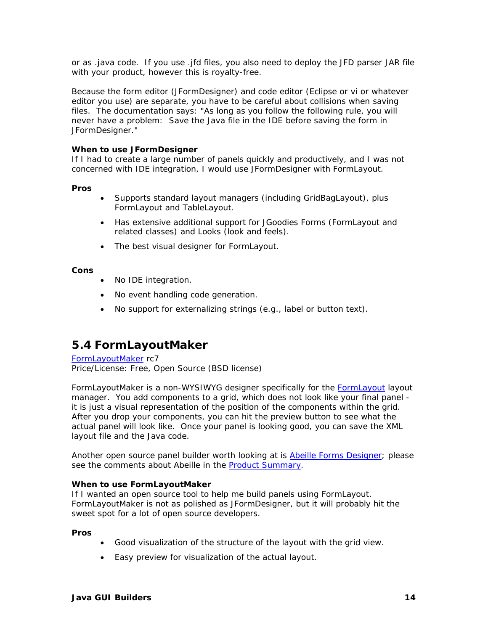or as .java code. If you use .jfd files, you also need to deploy the JFD parser JAR file with your product, however this is royalty-free.

Because the form editor (JFormDesigner) and code editor (Eclipse or vi or whatever editor you use) are separate, you have to be careful about collisions when saving files. The documentation says: "As long as you follow the following rule, you will never have a problem: Save the Java file in the IDE before saving the form in JFormDesigner."

### **When to use JFormDesigner**

If I had to create a large number of panels quickly and productively, and I was not concerned with IDE integration, I would use JFormDesigner with FormLayout.

### **Pros**

- Supports standard layout managers (including GridBagLayout), plus FormLayout and TableLayout.
- Has extensive additional support for JGoodies Forms (FormLayout and related classes) and Looks (look and feels).
- The best visual designer for FormLayout.

### **Cons**

- No IDE integration.
- No event handling code generation.
- No support for externalizing strings (e.g., label or button text).

## <span id="page-13-0"></span>*5.4 FormLayoutMaker*

### [FormLayoutMaker r](http://formlayoutmaker.sourceforge.net/)c7 Price/License: Free, Open Source (BSD license)

FormLayoutMaker is a non-WYSIWYG designer specifically for the [FormLayout l](http://www.jgoodies.com/freeware/forms/)ayout manager. You add components to a grid, which does not look like your final panel it is just a visual representation of the position of the components within the grid. After you drop your components, you can hit the preview button to see what the actual panel will look like. Once your panel is looking good, you can save the XML layout file and the Java code.

Another open source panel builder worth looking at is [Abeille Forms Designer;](https://abeille.dev.java.net/) please see the comments about Abeille in the [Product Summary.](#page-5-0)

### **When to use FormLayoutMaker**

If I wanted an open source tool to help me build panels using FormLayout. FormLayoutMaker is not as polished as JFormDesigner, but it will probably hit the sweet spot for a lot of open source developers.

### **Pros**

- Good visualization of the structure of the layout with the grid view.
- Easy preview for visualization of the actual layout.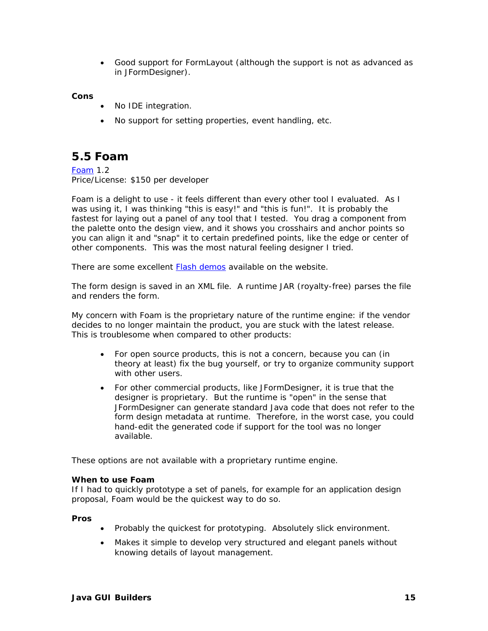• Good support for FormLayout (although the support is not as advanced as in JFormDesigner).

### **Cons**

- No IDE integration.
- No support for setting properties, event handling, etc.

## <span id="page-14-0"></span>*5.5 Foam*

[Foam](http://www.computersinmotion.com/products_foam.htm) 1.2 Price/License: \$150 per developer

Foam is a delight to use - it feels different than every other tool I evaluated. As I was using it, I was thinking "this is easy!" and "this is fun!". It is probably the fastest for laying out a panel of any tool that I tested. You drag a component from the palette onto the design view, and it shows you crosshairs and anchor points so you can align it and "snap" it to certain predefined points, like the edge or center of other components. This was the most natural feeling designer I tried.

There are some excellent **Flash demos** available on the website.

The form design is saved in an XML file. A runtime JAR (royalty-free) parses the file and renders the form.

My concern with Foam is the proprietary nature of the runtime engine: if the vendor decides to no longer maintain the product, you are stuck with the latest release. This is troublesome when compared to other products:

- For open source products, this is not a concern, because you can (in theory at least) fix the bug yourself, or try to organize community support with other users.
- For other commercial products, like JFormDesigner, it is true that the designer is proprietary. But the runtime is "open" in the sense that JFormDesigner can generate standard Java code that does not refer to the form design metadata at runtime. Therefore, in the worst case, you could hand-edit the generated code if support for the tool was no longer available.

These options are not available with a proprietary runtime engine.

### **When to use Foam**

If I had to quickly prototype a set of panels, for example for an application design proposal, Foam would be the quickest way to do so.

### **Pros**

- Probably the quickest for prototyping. Absolutely slick environment.
- Makes it simple to develop very structured and elegant panels without knowing details of layout management.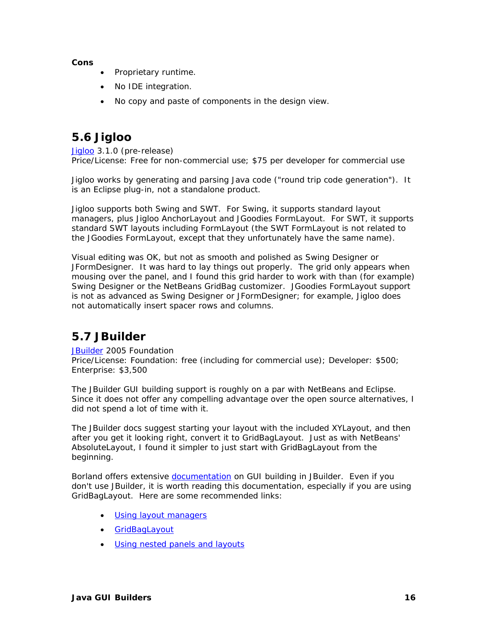**Cons** 

- Proprietary runtime.
- No IDE integration.
- No copy and paste of components in the design view.

## <span id="page-15-0"></span>*5.6 Jigloo*

[Jigloo 3](http://cloudgarden.com/jigloo/).1.0 (pre-release) Price/License: Free for non-commercial use; \$75 per developer for commercial use

Jigloo works by generating and parsing Java code ("round trip code generation"). It is an Eclipse plug-in, not a standalone product.

Jigloo supports both Swing and SWT. For Swing, it supports standard layout managers, plus Jigloo AnchorLayout and JGoodies FormLayout. For SWT, it supports standard SWT layouts including FormLayout (the SWT FormLayout is not related to the JGoodies FormLayout, except that they unfortunately have the same name).

Visual editing was OK, but not as smooth and polished as Swing Designer or JFormDesigner. It was hard to lay things out properly. The grid only appears when mousing over the panel, and I found this grid harder to work with than (for example) Swing Designer or the NetBeans GridBag customizer. JGoodies FormLayout support is not as advanced as Swing Designer or JFormDesigner; for example, Jigloo does not automatically insert spacer rows and columns.

## <span id="page-15-1"></span>*5.7 JBuilder*

[JBuilder](http://www.borland.com/jbuilder/) 2005 Foundation Price/License: Foundation: free (including for commercial use); Developer: \$500; Enterprise: \$3,500

The JBuilder GUI building support is roughly on a par with NetBeans and Eclipse. Since it does not offer any compelling advantage over the open source alternatives, I did not spend a lot of time with it.

The JBuilder docs suggest starting your layout with the included XYLayout, and then after you get it looking right, convert it to GridBagLayout. Just as with NetBeans' AbsoluteLayout, I found it simpler to just start with GridBagLayout from the beginning.

Borland offers extensive [documentation o](http://info.borland.com/techpubs/jbuilder/jbuilder2005/designui/contents.html)n GUI building in JBuilder. Even if you don't use JBuilder, it is worth reading this documentation, especially if you are using GridBagLayout. Here are some recommended links:

- [Using layout managers](http://info.borland.com/techpubs/jbuilder/jbuilder2005/designui/i1_layouts.html)
- [GridBagLayout](http://info.borland.com/techpubs/jbuilder/jbuilder2005/designui/i7_gridbaglayout.html)
- [Using nested panels and layouts](http://info.borland.com/techpubs/jbuilder/jbuilder2005/designui/k_nestedlayouts.html)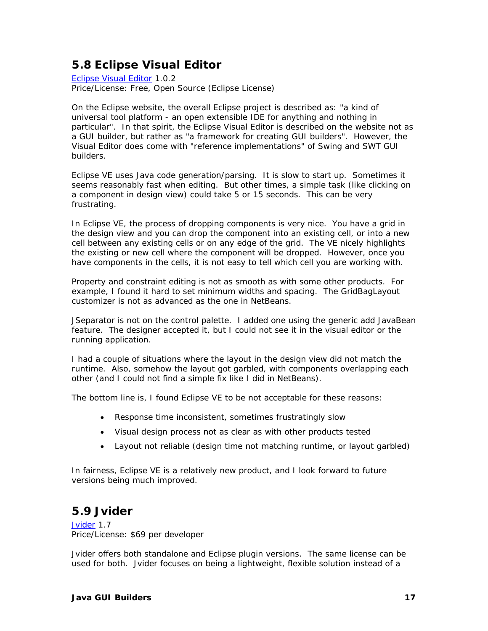## <span id="page-16-0"></span>*5.8 Eclipse Visual Editor*

[Eclipse Visual Editor](http://www.eclipse.org/vep/) 1.0.2 Price/License: Free, Open Source (Eclipse License)

On the Eclipse website, the overall Eclipse project is described as: "a kind of universal tool platform - an open extensible IDE for anything and nothing in particular". In that spirit, the Eclipse Visual Editor is described on the website not as a GUI builder, but rather as "a framework for creating GUI builders". However, the Visual Editor does come with "reference implementations" of Swing and SWT GUI builders.

Eclipse VE uses Java code generation/parsing. It is slow to start up. Sometimes it seems reasonably fast when editing. But other times, a simple task (like clicking on a component in design view) could take 5 or 15 seconds. This can be very frustrating.

In Eclipse VE, the process of dropping components is very nice. You have a grid in the design view and you can drop the component into an existing cell, or into a new cell between any existing cells or on any edge of the grid. The VE nicely highlights the existing or new cell where the component will be dropped. However, once you have components in the cells, it is not easy to tell which cell you are working with.

Property and constraint editing is not as smooth as with some other products. For example, I found it hard to set minimum widths and spacing. The GridBagLayout customizer is not as advanced as the one in NetBeans.

JSeparator is not on the control palette. I added one using the generic add JavaBean feature. The designer accepted it, but I could not see it in the visual editor or the running application.

I had a couple of situations where the layout in the design view did not match the runtime. Also, somehow the layout got garbled, with components overlapping each other (and I could not find a simple fix like I did in NetBeans).

The bottom line is, I found Eclipse VE to be not acceptable for these reasons:

- Response time inconsistent, sometimes frustratingly slow
- Visual design process not as clear as with other products tested
- Layout not reliable (design time not matching runtime, or layout garbled)

In fairness, Eclipse VE is a relatively new product, and I look forward to future versions being much improved.

## <span id="page-16-1"></span>*5.9 Jvider*

[Jvider](http://www.jvider.com/) 1.7 Price/License: \$69 per developer

Jvider offers both standalone and Eclipse plugin versions. The same license can be used for both. Jvider focuses on being a lightweight, flexible solution instead of a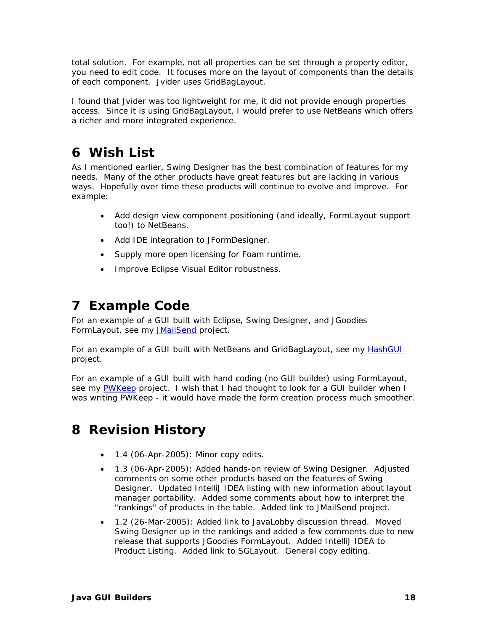total solution. For example, not all properties can be set through a property editor, you need to edit code. It focuses more on the layout of components than the details of each component. Jvider uses GridBagLayout.

I found that Jvider was too lightweight for me, it did not provide enough properties access. Since it is using GridBagLayout, I would prefer to use NetBeans which offers a richer and more integrated experience.

# <span id="page-17-0"></span>**6 Wish List**

As I mentioned earlier, Swing Designer has the best combination of features for my needs. Many of the other products have great features but are lacking in various ways. Hopefully over time these products will continue to evolve and improve. For example:

- Add design view component positioning (and ideally, FormLayout support too!) to NetBeans.
- Add IDE integration to JFormDesigner.
- Supply more open licensing for Foam runtime.
- Improve Eclipse Visual Editor robustness.

# <span id="page-17-1"></span>**7 Example Code**

For an example of a GUI built with Eclipse, Swing Designer, and JGoodies FormLayout, see my [JMailSend p](http://www.fullspan.com/proj/jmailsend/)roject.

For an example of a GUI built with NetBeans and GridBagLayout, see my [HashGUI](http://www.fullspan.com/proj/hashgui/) project.

For an example of a GUI built with hand coding (no GUI builder) using FormLayout, see my [PWKeep](http://www.fullspan.com/proj/pwkeep/) project. I wish that I had thought to look for a GUI builder when I was writing PWKeep - it would have made the form creation process much smoother.

# <span id="page-17-2"></span>**8 Revision History**

- 1.4 (06-Apr-2005): Minor copy edits.
- 1.3 (06-Apr-2005): Added hands-on review of Swing Designer. Adjusted comments on some other products based on the features of Swing Designer. Updated IntelliJ IDEA listing with new information about layout manager portability. Added some comments about how to interpret the "rankings" of products in the table. Added link to JMailSend project.
- 1.2 (26-Mar-2005): Added link to JavaLobby discussion thread. Moved Swing Designer up in the rankings and added a few comments due to new release that supports JGoodies FormLayout. Added IntelliJ IDEA to Product Listing. Added link to SGLayout. General copy editing.